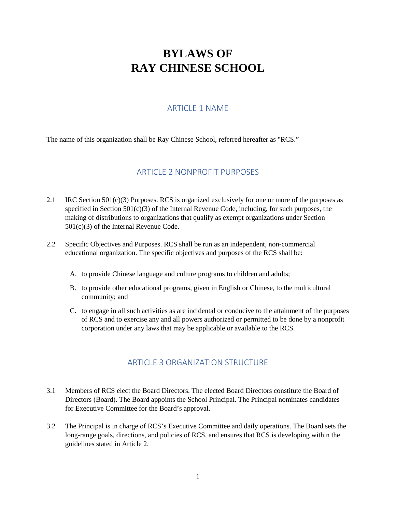# **BYLAWS OF RAY CHINESE SCHOOL**

# ARTICLE 1 NAME

The name of this organization shall be Ray Chinese School, referred hereafter as "RCS."

#### ARTICLE 2 NONPROFIT PURPOSES

- 2.1 IRC Section  $501(c)(3)$  Purposes. RCS is organized exclusively for one or more of the purposes as specified in Section  $501(c)(3)$  of the Internal Revenue Code, including, for such purposes, the making of distributions to organizations that qualify as exempt organizations under Section 501(c)(3) of the Internal Revenue Code.
- 2.2 Specific Objectives and Purposes. RCS shall be run as an independent, non-commercial educational organization. The specific objectives and purposes of the RCS shall be:
	- A. to provide Chinese language and culture programs to children and adults;
	- B. to provide other educational programs, given in English or Chinese, to the multicultural community; and
	- C. to engage in all such activities as are incidental or conducive to the attainment of the purposes of RCS and to exercise any and all powers authorized or permitted to be done by a nonprofit corporation under any laws that may be applicable or available to the RCS.

# ARTICLE 3 ORGANIZATION STRUCTURE

- 3.1 Members of RCS elect the Board Directors. The elected Board Directors constitute the Board of Directors (Board). The Board appoints the School Principal. The Principal nominates candidates for Executive Committee for the Board's approval.
- 3.2 The Principal is in charge of RCS's Executive Committee and daily operations. The Board sets the long-range goals, directions, and policies of RCS, and ensures that RCS is developing within the guidelines stated in Article 2.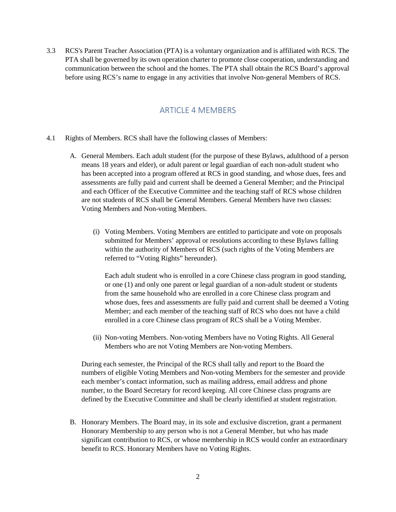3.3 RCS's Parent Teacher Association (PTA) is a voluntary organization and is affiliated with RCS. The PTA shall be governed by its own operation charter to promote close cooperation, understanding and communication between the school and the homes. The PTA shall obtain the RCS Board's approval before using RCS's name to engage in any activities that involve Non-general Members of RCS.

#### ARTICLE 4 MEMBERS

- 4.1 Rights of Members. RCS shall have the following classes of Members:
	- A. General Members. Each adult student (for the purpose of these Bylaws, adulthood of a person means 18 years and elder), or adult parent or legal guardian of each non-adult student who has been accepted into a program offered at RCS in good standing, and whose dues, fees and assessments are fully paid and current shall be deemed a General Member; and the Principal and each Officer of the Executive Committee and the teaching staff of RCS whose children are not students of RCS shall be General Members. General Members have two classes: Voting Members and Non-voting Members.
		- (i) Voting Members. Voting Members are entitled to participate and vote on proposals submitted for Members' approval or resolutions according to these Bylaws falling within the authority of Members of RCS (such rights of the Voting Members are referred to "Voting Rights" hereunder).

Each adult student who is enrolled in a core Chinese class program in good standing, or one (1) and only one parent or legal guardian of a non-adult student or students from the same household who are enrolled in a core Chinese class program and whose dues, fees and assessments are fully paid and current shall be deemed a Voting Member; and each member of the teaching staff of RCS who does not have a child enrolled in a core Chinese class program of RCS shall be a Voting Member.

(ii) Non-voting Members. Non-voting Members have no Voting Rights. All General Members who are not Voting Members are Non-voting Members.

During each semester, the Principal of the RCS shall tally and report to the Board the numbers of eligible Voting Members and Non-voting Members for the semester and provide each member's contact information, such as mailing address, email address and phone number, to the Board Secretary for record keeping. All core Chinese class programs are defined by the Executive Committee and shall be clearly identified at student registration.

B. Honorary Members. The Board may, in its sole and exclusive discretion, grant a permanent Honorary Membership to any person who is not a General Member, but who has made significant contribution to RCS, or whose membership in RCS would confer an extraordinary benefit to RCS. Honorary Members have no Voting Rights.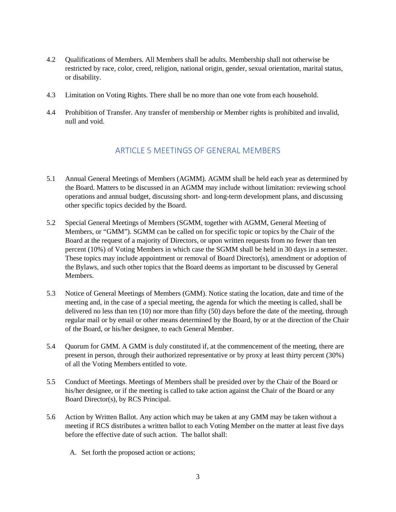- 4.2 Qualifications of Members. All Members shall be adults. Membership shall not otherwise be restricted by race, color, creed, religion, national origin, gender, sexual orientation, marital status, or disability.
- 4.3 Limitation on Voting Rights. There shall be no more than one vote from each household.
- 4.4 Prohibition of Transfer. Any transfer of membership or Member rights is prohibited and invalid, null and void.

#### ARTICLE 5 MEETINGS OF GENERAL MEMBERS

- 5.1 Annual General Meetings of Members (AGMM). AGMM shall be held each year as determined by the Board. Matters to be discussed in an AGMM may include without limitation: reviewing school operations and annual budget, discussing short- and long-term development plans, and discussing other specific topics decided by the Board.
- 5.2 Special General Meetings of Members (SGMM, together with AGMM, General Meeting of Members, or "GMM"). SGMM can be called on for specific topic or topics by the Chair of the Board at the request of a majority of Directors, or upon written requests from no fewer than ten percent (10%) of Voting Members in which case the SGMM shall be held in 30 days in a semester. These topics may include appointment or removal of Board Director(s), amendment or adoption of the Bylaws, and such other topics that the Board deems as important to be discussed by General Members.
- 5.3 Notice of General Meetings of Members (GMM). Notice stating the location, date and time of the meeting and, in the case of a special meeting, the agenda for which the meeting is called, shall be delivered no less than ten (10) nor more than fifty (50) days before the date of the meeting, through regular mail or by email or other means determined by the Board, by or at the direction of the Chair of the Board, or his/her designee, to each General Member.
- 5.4 Quorum for GMM. A GMM is duly constituted if, at the commencement of the meeting, there are present in person, through their authorized representative or by proxy at least thirty percent (30%) of all the Voting Members entitled to vote.
- 5.5 Conduct of Meetings. Meetings of Members shall be presided over by the Chair of the Board or his/her designee, or if the meeting is called to take action against the Chair of the Board or any Board Director(s), by RCS Principal.
- 5.6 Action by Written Ballot. Any action which may be taken at any GMM may be taken without a meeting if RCS distributes a written ballot to each Voting Member on the matter at least five days before the effective date of such action. The ballot shall:
	- A. Set forth the proposed action or actions;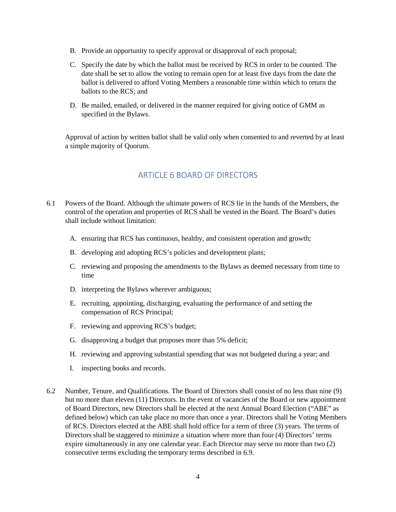- B. Provide an opportunity to specify approval or disapproval of each proposal;
- C. Specify the date by which the ballot must be received by RCS in order to be counted. The date shall be set to allow the voting to remain open for at least five days from the date the ballot is delivered to afford Voting Members a reasonable time within which to return the ballots to the RCS; and
- D. Be mailed, emailed, or delivered in the manner required for giving notice of GMM as specified in the Bylaws.

Approval of action by written ballot shall be valid only when consented to and reverted by at least a simple majority of Quorum.

# ARTICLE 6 BOARD OF DIRECTORS

- 6.1 Powers of the Board. Although the ultimate powers of RCS lie in the hands of the Members, the control of the operation and properties of RCS shall be vested in the Board. The Board's duties shall include without limitation:
	- A. ensuring that RCS has continuous, healthy, and consistent operation and growth;
	- B. developing and adopting RCS's policies and development plans;
	- C. reviewing and proposing the amendments to the Bylaws as deemed necessary from time to time
	- D. interpreting the Bylaws wherever ambiguous;
	- E. recruiting, appointing, discharging, evaluating the performance of and setting the compensation of RCS Principal;
	- F. reviewing and approving RCS's budget;
	- G. disapproving a budget that proposes more than 5% deficit;
	- H. reviewing and approving substantial spending that was not budgeted during a year; and
	- I. inspecting books and records.
- 6.2 Number, Tenure, and Qualifications. The Board of Directors shall consist of no less than nine (9) but no more than eleven (11) Directors. In the event of vacancies of the Board or new appointment of Board Directors, new Directors shall be elected at the next Annual Board Election ("ABE" as defined below) which can take place no more than once a year. Directors shall be Voting Members of RCS. Directors elected at the ABE shall hold office for a term of three (3) years. The terms of Directors shall be staggered to minimize a situation where more than four (4) Directors' terms expire simultaneously in any one calendar year. Each Director may serve no more than two (2) consecutive terms excluding the temporary terms described in 6.9.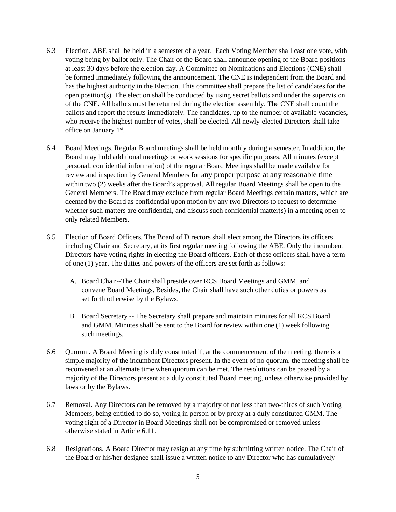- 6.3 Election. ABE shall be held in a semester of a year. Each Voting Member shall cast one vote, with voting being by ballot only. The Chair of the Board shall announce opening of the Board positions at least 30 days before the election day. A Committee on Nominations and Elections (CNE) shall be formed immediately following the announcement. The CNE is independent from the Board and has the highest authority in the Election. This committee shall prepare the list of candidates for the open position(s). The election shall be conducted by using secret ballots and under the supervision of the CNE. All ballots must be returned during the election assembly. The CNE shall count the ballots and report the results immediately. The candidates, up to the number of available vacancies, who receive the highest number of votes, shall be elected. All newly-elected Directors shall take office on January 1st.
- 6.4 Board Meetings. Regular Board meetings shall be held monthly during a semester. In addition, the Board may hold additional meetings or work sessions for specific purposes. All minutes (except personal, confidential information) of the regular Board Meetings shall be made available for review and inspection by General Members for any proper purpose at any reasonable time within two (2) weeks after the Board's approval. All regular Board Meetings shall be open to the General Members. The Board may exclude from regular Board Meetings certain matters, which are deemed by the Board as confidential upon motion by any two Directors to request to determine whether such matters are confidential, and discuss such confidential matter(s) in a meeting open to only related Members.
- 6.5 Election of Board Officers. The Board of Directors shall elect among the Directors its officers including Chair and Secretary, at its first regular meeting following the ABE. Only the incumbent Directors have voting rights in electing the Board officers. Each of these officers shall have a term of one (1) year. The duties and powers of the officers are set forth as follows:
	- A. Board Chair--The Chair shall preside over RCS Board Meetings and GMM, and convene Board Meetings. Besides, the Chair shall have such other duties or powers as set forth otherwise by the Bylaws.
	- B. Board Secretary -- The Secretary shall prepare and maintain minutes for all RCS Board and GMM. Minutes shall be sent to the Board for review within one (1) week following such meetings.
- 6.6 Quorum. A Board Meeting is duly constituted if, at the commencement of the meeting, there is a simple majority of the incumbent Directors present. In the event of no quorum, the meeting shall be reconvened at an alternate time when quorum can be met. The resolutions can be passed by a majority of the Directors present at a duly constituted Board meeting, unless otherwise provided by laws or by the Bylaws.
- 6.7 Removal. Any Directors can be removed by a majority of not less than two-thirds of such Voting Members, being entitled to do so, voting in person or by proxy at a duly constituted GMM. The voting right of a Director in Board Meetings shall not be compromised or removed unless otherwise stated in Article 6.11.
- 6.8 Resignations. A Board Director may resign at any time by submitting written notice. The Chair of the Board or his/her designee shall issue a written notice to any Director who has cumulatively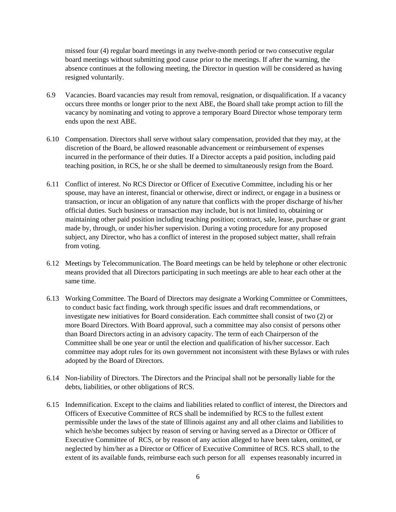missed four (4) regular board meetings in any twelve-month period or two consecutive regular board meetings without submitting good cause prior to the meetings. If after the warning, the absence continues at the following meeting, the Director in question will be considered as having resigned voluntarily.

- 6.9 Vacancies. Board vacancies may result from removal, resignation, or disqualification. If a vacancy occurs three months or longer prior to the next ABE, the Board shall take prompt action to fill the vacancy by nominating and voting to approve a temporary Board Director whose temporary term ends upon the next ABE.
- 6.10 Compensation. Directors shall serve without salary compensation, provided that they may, at the discretion of the Board, be allowed reasonable advancement or reimbursement of expenses incurred in the performance of their duties. If a Director accepts a paid position, including paid teaching position, in RCS, he or she shall be deemed to simultaneously resign from the Board.
- 6.11 Conflict of interest. No RCS Director or Officer of Executive Committee, including his or her spouse, may have an interest, financial or otherwise, direct or indirect, or engage in a business or transaction, or incur an obligation of any nature that conflicts with the proper discharge of his/her official duties. Such business or transaction may include, but is not limited to, obtaining or maintaining other paid position including teaching position; contract, sale, lease, purchase or grant made by, through, or under his/her supervision. During a voting procedure for any proposed subject, any Director, who has a conflict of interest in the proposed subject matter, shall refrain from voting.
- 6.12 Meetings by Telecommunication. The Board meetings can be held by telephone or other electronic means provided that all Directors participating in such meetings are able to hear each other at the same time.
- 6.13 Working Committee. The Board of Directors may designate a Working Committee or Committees, to conduct basic fact finding, work through specific issues and draft recommendations, or investigate new initiatives for Board consideration. Each committee shall consist of two (2) or more Board Directors. With Board approval, such a committee may also consist of persons other than Board Directors acting in an advisory capacity. The term of each Chairperson of the Committee shall be one year or until the election and qualification of his/her successor. Each committee may adopt rules for its own government not inconsistent with these Bylaws or with rules adopted by the Board of Directors.
- 6.14 Non-liability of Directors. The Directors and the Principal shall not be personally liable for the debts, liabilities, or other obligations of RCS.
- 6.15 Indemnification. Except to the claims and liabilities related to conflict of interest, the Directors and Officers of Executive Committee of RCS shall be indemnified by RCS to the fullest extent permissible under the laws of the state of Illinois against any and all other claims and liabilities to which he/she becomes subject by reason of serving or having served as a Director or Officer of Executive Committee of RCS, or by reason of any action alleged to have been taken, omitted, or neglected by him/her as a Director or Officer of Executive Committee of RCS. RCS shall, to the extent of its available funds, reimburse each such person for all expenses reasonably incurred in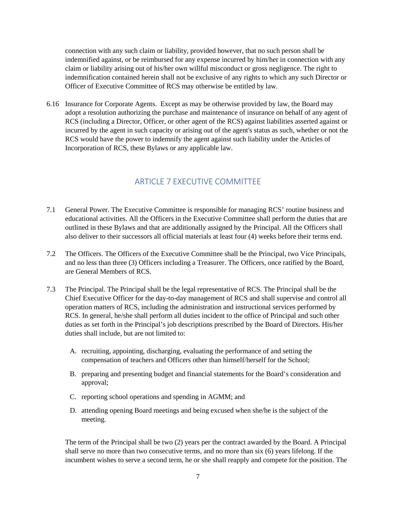connection with any such claim or liability, provided however, that no such person shall be indemnified against, or be reimbursed for any expense incurred by him/her in connection with any claim or liability arising out of his/her own willful misconduct or gross negligence. The right to indemnification contained herein shall not be exclusive of any rights to which any such Director or Officer of Executive Committee of RCS may otherwise be entitled by law.

6.16 Insurance for Corporate Agents. Except as may be otherwise provided by law, the Board may adopt a resolution authorizing the purchase and maintenance of insurance on behalf of any agent of RCS (including a Director, Officer, or other agent of the RCS) against liabilities asserted against or incurred by the agent in such capacity or arising out of the agent's status as such, whether or not the RCS would have the power to indemnify the agent against such liability under the Articles of Incorporation of RCS, these Bylaws or any applicable law.

### ARTICLE 7 EXECUTIVE COMMITTEE

- 7.1 General Power. The Executive Committee is responsible for managing RCS' routine business and educational activities. All the Officers in the Executive Committee shall perform the duties that are outlined in these Bylaws and that are additionally assigned by the Principal. All the Officers shall also deliver to their successors all official materials at least four (4) weeks before their terms end.
- 7.2 The Officers. The Officers of the Executive Committee shall be the Principal, two Vice Principals, and no less than three (3) Officers including a Treasurer. The Officers, once ratified by the Board, are General Members of RCS.
- 7.3 The Principal. The Principal shall be the legal representative of RCS. The Principal shall be the Chief Executive Officer for the day-to-day management of RCS and shall supervise and control all operation matters of RCS, including the administration and instructional services performed by RCS. In general, he/she shall perform all duties incident to the office of Principal and such other duties as set forth in the Principal's job descriptions prescribed by the Board of Directors. His/her duties shall include, but are not limited to:
	- A. recruiting, appointing, discharging, evaluating the performance of and setting the compensation of teachers and Officers other than himself/herself for the School;
	- B. preparing and presenting budget and financial statements for the Board's consideration and approval;
	- C. reporting school operations and spending in AGMM; and
	- D. attending opening Board meetings and being excused when she/he is the subject of the meeting.

The term of the Principal shall be two (2) years per the contract awarded by the Board. A Principal shall serve no more than two consecutive terms, and no more than six (6) years lifelong. If the incumbent wishes to serve a second term, he or she shall reapply and compete for the position. The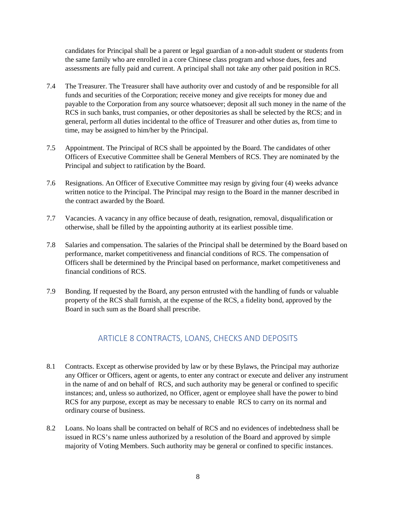candidates for Principal shall be a parent or legal guardian of a non-adult student or students from the same family who are enrolled in a core Chinese class program and whose dues, fees and assessments are fully paid and current. A principal shall not take any other paid position in RCS.

- 7.4 The Treasurer. The Treasurer shall have authority over and custody of and be responsible for all funds and securities of the Corporation; receive money and give receipts for money due and payable to the Corporation from any source whatsoever; deposit all such money in the name of the RCS in such banks, trust companies, or other depositories as shall be selected by the RCS; and in general, perform all duties incidental to the office of Treasurer and other duties as, from time to time, may be assigned to him/her by the Principal.
- 7.5 Appointment. The Principal of RCS shall be appointed by the Board. The candidates of other Officers of Executive Committee shall be General Members of RCS. They are nominated by the Principal and subject to ratification by the Board.
- 7.6 Resignations. An Officer of Executive Committee may resign by giving four (4) weeks advance written notice to the Principal. The Principal may resign to the Board in the manner described in the contract awarded by the Board.
- 7.7 Vacancies. A vacancy in any office because of death, resignation, removal, disqualification or otherwise, shall be filled by the appointing authority at its earliest possible time.
- 7.8 Salaries and compensation. The salaries of the Principal shall be determined by the Board based on performance, market competitiveness and financial conditions of RCS. The compensation of Officers shall be determined by the Principal based on performance, market competitiveness and financial conditions of RCS.
- 7.9 Bonding. If requested by the Board, any person entrusted with the handling of funds or valuable property of the RCS shall furnish, at the expense of the RCS, a fidelity bond, approved by the Board in such sum as the Board shall prescribe.

# ARTICLE 8 CONTRACTS, LOANS, CHECKS AND DEPOSITS

- 8.1 Contracts. Except as otherwise provided by law or by these Bylaws, the Principal may authorize any Officer or Officers, agent or agents, to enter any contract or execute and deliver any instrument in the name of and on behalf of RCS, and such authority may be general or confined to specific instances; and, unless so authorized, no Officer, agent or employee shall have the power to bind RCS for any purpose, except as may be necessary to enable RCS to carry on its normal and ordinary course of business.
- 8.2 Loans. No loans shall be contracted on behalf of RCS and no evidences of indebtedness shall be issued in RCS's name unless authorized by a resolution of the Board and approved by simple majority of Voting Members. Such authority may be general or confined to specific instances.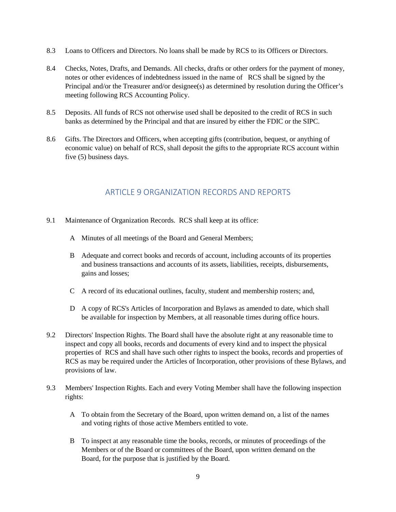- 8.3 Loans to Officers and Directors. No loans shall be made by RCS to its Officers or Directors.
- 8.4 Checks, Notes, Drafts, and Demands. All checks, drafts or other orders for the payment of money, notes or other evidences of indebtedness issued in the name of RCS shall be signed by the Principal and/or the Treasurer and/or designee(s) as determined by resolution during the Officer's meeting following RCS Accounting Policy.
- 8.5 Deposits. All funds of RCS not otherwise used shall be deposited to the credit of RCS in such banks as determined by the Principal and that are insured by either the FDIC or the SIPC.
- 8.6 Gifts. The Directors and Officers, when accepting gifts (contribution, bequest, or anything of economic value) on behalf of RCS, shall deposit the gifts to the appropriate RCS account within five (5) business days.

# ARTICLE 9 ORGANIZATION RECORDS AND REPORTS

- 9.1 Maintenance of Organization Records. RCS shall keep at its office:
	- A Minutes of all meetings of the Board and General Members;
	- B Adequate and correct books and records of account, including accounts of its properties and business transactions and accounts of its assets, liabilities, receipts, disbursements, gains and losses;
	- C A record of its educational outlines, faculty, student and membership rosters; and,
	- D A copy of RCS's Articles of Incorporation and Bylaws as amended to date, which shall be available for inspection by Members, at all reasonable times during office hours.
- 9.2 Directors' Inspection Rights. The Board shall have the absolute right at any reasonable time to inspect and copy all books, records and documents of every kind and to inspect the physical properties of RCS and shall have such other rights to inspect the books, records and properties of RCS as may be required under the Articles of Incorporation, other provisions of these Bylaws, and provisions of law.
- 9.3 Members' Inspection Rights. Each and every Voting Member shall have the following inspection rights:
	- A To obtain from the Secretary of the Board, upon written demand on, a list of the names and voting rights of those active Members entitled to vote.
	- B To inspect at any reasonable time the books, records, or minutes of proceedings of the Members or of the Board or committees of the Board, upon written demand on the Board, for the purpose that is justified by the Board.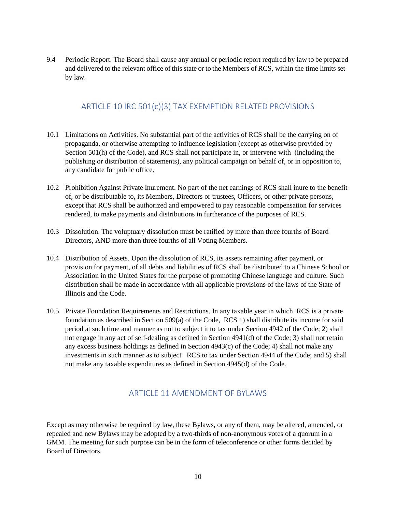9.4 Periodic Report. The Board shall cause any annual or periodic report required by law to be prepared and delivered to the relevant office of this state or to the Members of RCS, within the time limits set by law.

### ARTICLE 10 IRC 501(c)(3) TAX EXEMPTION RELATED PROVISIONS

- 10.1 Limitations on Activities. No substantial part of the activities of RCS shall be the carrying on of propaganda, or otherwise attempting to influence legislation (except as otherwise provided by Section 501(h) of the Code), and RCS shall not participate in, or intervene with (including the publishing or distribution of statements), any political campaign on behalf of, or in opposition to, any candidate for public office.
- 10.2 Prohibition Against Private Inurement. No part of the net earnings of RCS shall inure to the benefit of, or be distributable to, its Members, Directors or trustees, Officers, or other private persons, except that RCS shall be authorized and empowered to pay reasonable compensation for services rendered, to make payments and distributions in furtherance of the purposes of RCS.
- 10.3 Dissolution. The voluptuary dissolution must be ratified by more than three fourths of Board Directors, AND more than three fourths of all Voting Members.
- 10.4 Distribution of Assets. Upon the dissolution of RCS, its assets remaining after payment, or provision for payment, of all debts and liabilities of RCS shall be distributed to a Chinese School or Association in the United States for the purpose of promoting Chinese language and culture. Such distribution shall be made in accordance with all applicable provisions of the laws of the State of Illinois and the Code.
- 10.5 Private Foundation Requirements and Restrictions. In any taxable year in which RCS is a private foundation as described in Section 509(a) of the Code, RCS 1) shall distribute its income for said period at such time and manner as not to subject it to tax under Section 4942 of the Code; 2) shall not engage in any act of self-dealing as defined in Section 4941(d) of the Code; 3) shall not retain any excess business holdings as defined in Section 4943(c) of the Code; 4) shall not make any investments in such manner as to subject RCS to tax under Section 4944 of the Code; and 5) shall not make any taxable expenditures as defined in Section 4945(d) of the Code.

# ARTICLE 11 AMENDMENT OF BYLAWS

Except as may otherwise be required by law, these Bylaws, or any of them, may be altered, amended, or repealed and new Bylaws may be adopted by a two-thirds of non-anonymous votes of a quorum in a GMM. The meeting for such purpose can be in the form of teleconference or other forms decided by Board of Directors.